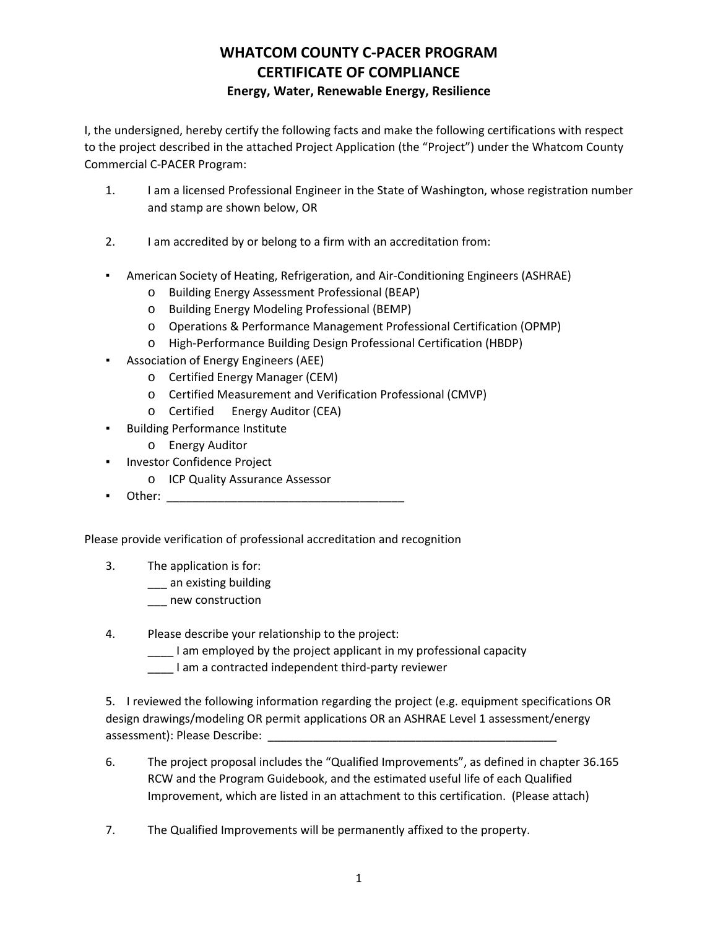## **WHATCOM COUNTY C-PACER PROGRAM CERTIFICATE OF COMPLIANCE**

### **Energy, Water, Renewable Energy, Resilience**

I, the undersigned, hereby certify the following facts and make the following certifications with respect to the project described in the attached Project Application (the "Project") under the Whatcom County Commercial C-PACER Program:

- 1. I am a licensed Professional Engineer in the State of Washington, whose registration number and stamp are shown below, OR
- 2. I am accredited by or belong to a firm with an accreditation from:
- American Society of Heating, Refrigeration, and Air-Conditioning Engineers (ASHRAE)
	- o Building Energy Assessment Professional (BEAP)
	- o Building Energy Modeling Professional (BEMP)
	- o Operations & Performance Management Professional Certification (OPMP)
	- o High-Performance Building Design Professional Certification (HBDP)
- Association of Energy Engineers (AEE)
	- o Certified Energy Manager (CEM)
	- o Certified Measurement and Verification Professional (CMVP)
	- o Certified Energy Auditor (CEA)
- **Building Performance Institute** 
	- o Energy Auditor
- Investor Confidence Project
	- o ICP Quality Assurance Assessor
- Other: \_\_\_\_\_\_\_\_\_\_\_\_\_\_\_\_\_\_\_\_\_\_\_\_\_\_\_\_\_\_\_\_\_\_\_\_\_

Please provide verification of professional accreditation and recognition

- 3. The application is for:
	- \_\_\_ an existing building
	- \_\_\_ new construction
- 4. Please describe your relationship to the project:
	- \_\_\_\_ I am employed by the project applicant in my professional capacity
	- \_\_\_\_ I am a contracted independent third-party reviewer

5. I reviewed the following information regarding the project (e.g. equipment specifications OR design drawings/modeling OR permit applications OR an ASHRAE Level 1 assessment/energy assessment): Please Describe:

- 6. The project proposal includes the "Qualified Improvements", as defined in chapter 36.165 RCW and the Program Guidebook, and the estimated useful life of each Qualified Improvement, which are listed in an attachment to this certification. (Please attach)
- 7. The Qualified Improvements will be permanently affixed to the property.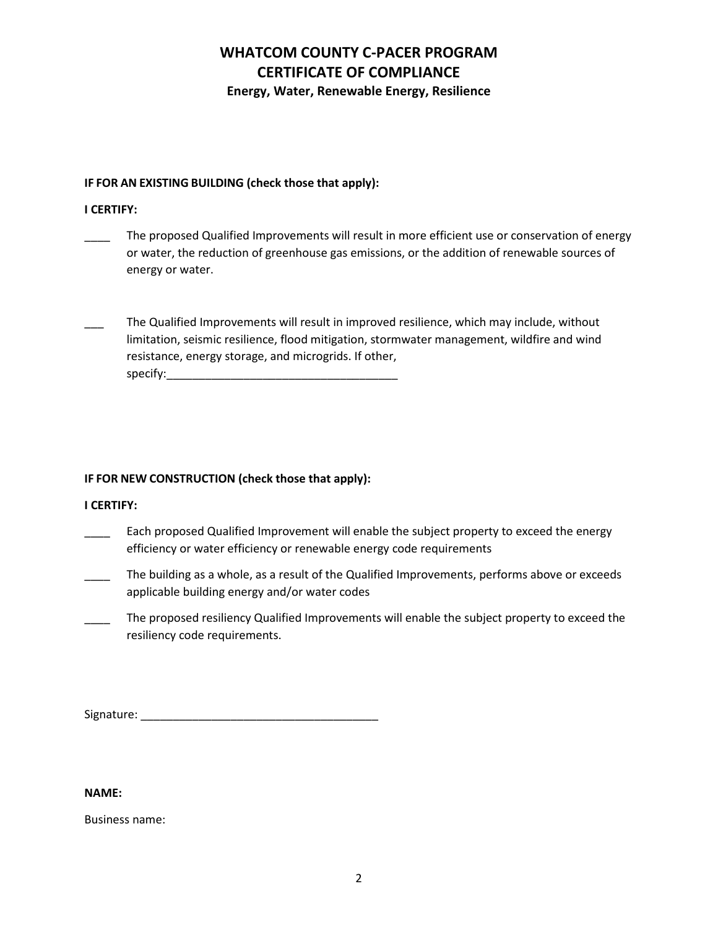# **WHATCOM COUNTY C-PACER PROGRAM CERTIFICATE OF COMPLIANCE**

**Energy, Water, Renewable Energy, Resilience**

#### **IF FOR AN EXISTING BUILDING (check those that apply):**

### **I CERTIFY:**

- The proposed Qualified Improvements will result in more efficient use or conservation of energy or water, the reduction of greenhouse gas emissions, or the addition of renewable sources of energy or water.
- The Qualified Improvements will result in improved resilience, which may include, without limitation, seismic resilience, flood mitigation, stormwater management, wildfire and wind resistance, energy storage, and microgrids. If other, specify:\_\_\_\_\_\_\_\_\_\_\_\_\_\_\_\_\_\_\_\_\_\_\_\_\_\_\_\_\_\_\_\_\_\_\_\_

### **IF FOR NEW CONSTRUCTION (check those that apply):**

#### **I CERTIFY:**

- \_\_\_\_ Each proposed Qualified Improvement will enable the subject property to exceed the energy efficiency or water efficiency or renewable energy code requirements
- \_\_\_\_ The building as a whole, as a result of the Qualified Improvements, performs above or exceeds applicable building energy and/or water codes
- The proposed resiliency Qualified Improvements will enable the subject property to exceed the resiliency code requirements.

Signature: \_\_\_\_\_\_\_\_\_\_\_\_\_\_\_\_\_\_\_\_\_\_\_\_\_\_\_\_\_\_\_\_\_\_\_\_\_

#### **NAME:**

Business name: